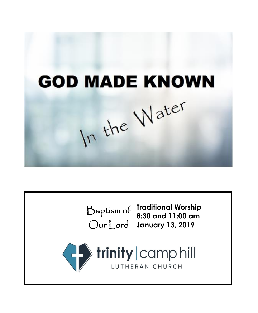**GOD MADE KNOWN** In the Water

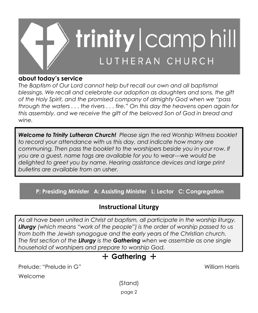

# **about today's service**

*The Baptism of Our Lord cannot help but recall our own and all baptismal blessings. We recall and celebrate our adoption as daughters and sons, the gift of the Holy Spirit, and the promised company of almighty God when we "pass through the waters . . . the rivers . . . fire." On this day the heavens open again for this assembly, and we receive the gift of the beloved Son of God in bread and wine.*

*Welcome to Trinity Lutheran Church! Please sign the red Worship Witness booklet to record your attendance with us this day, and indicate how many are communing. Then pass the booklet to the worshipers beside you in your row. If you are a guest, name tags are available for you to wear---we would be delighted to greet you by name. Hearing assistance devices and large print bulletins are available from an usher.*

**P: Presiding Minister A: Assisting Minister L: Lector C: Congregation**

# **Instructional Liturgy**

*As all have been united in Christ at baptism, all participate in the worship liturgy. Liturgy (which means "work of the people") is the order of worship passed to us from both the Jewish synagogue and the early years of the Christian church. The first section of the Liturgy is the Gathering when we assemble as one single household of worshipers and prepare to worship God.*

# + **Gathering** +

Prelude: "Prelude in G" William Harris

Welcome

(Stand)

page 2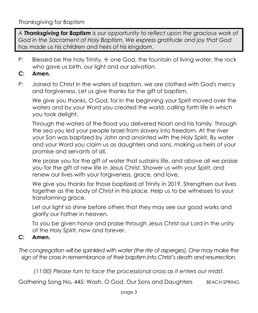*A Thanksgiving for Baptism is our opportunity to reflect upon the gracious work of God in the Sacrament of Holy Baptism. We express gratitude and joy that God has made us his children and heirs of his kingdom.* 

P: Blessed be the holy Trinity,  $\pm$  one God, the fountain of living water, the rock who gave us birth, our light and our salvation.

# **C: Amen.**

P: Joined to Christ in the waters of baptism, we are clothed with God's mercy and forgiveness. Let us give thanks for the gift of baptism.

We give you thanks, O God, for in the beginning your Spirit moved over the waters and by your Word you created the world, calling forth life in which you took delight.

Through the waters of the flood you delivered Noah and his family. Through the sea you led your people Israel from slavery into freedom. At the river your Son was baptized by John and anointed with the Holy Spirit. By water and your Word you claim us as daughters and sons, making us heirs of your promise and servants of all.

We praise you for the gift of water that sustains life, and above all we praise you for the gift of new life in Jesus Christ. Shower us with your Spirit, and renew our lives with your forgiveness, grace, and love.

We give you thanks for those baptized at Trinity in 2019. Strengthen our lives together as the body of Christ in this place. Help us to be witnesses to your transforming grace.

Let our light so shine before others that they may see our good works and glorify our Father in heaven.

To you be given honor and praise through Jesus Christ our Lord in the unity of the Holy Spirit, now and forever.

## **C: Amen.**

*The congregation will be sprinkled with water (the rite of asperges). One may make the sign of the cross in remembrance of their baptism into Christ's death and resurrection.*

*(11:00) Please turn to face the processional cross as it enters our midst.*

Gathering Song No. 445: Wash, O God, Our Sons and Daughters BEACH SPRING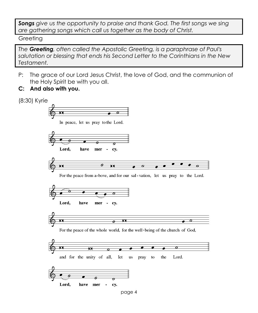*Songs give us the opportunity to praise and thank God. The first songs we sing are gathering songs which call us together as the body of Christ.*

Greeting

*The Greeting, often called the Apostolic Greeting, is a paraphrase of Paul's salutation or blessing that ends his Second Letter to the Corinthians in the New Testament.*

- P: The grace of our Lord Jesus Christ, the love of God, and the communion of the Holy Spirit be with you all.
- **C: And also with you.**

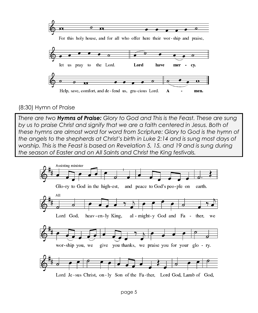

# (8:30) Hymn of Praise

*There are two Hymns of Praise: Glory to God and This is the Feast. These are sung*  by us to praise Christ and signify that we are a faith centered in Jesus. Both of *these hymns are almost word for word from Scripture: Glory to God is the hymn of the angels to the shepherds at Christ's birth in Luke 2:14 and is sung most days of worship. This is the Feast is based on Revelation 5, 15, and 19 and is sung during the season of Easter and on All Saints and Christ the King festivals.* 

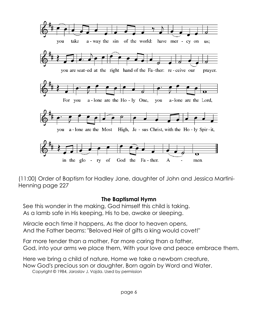

(11:00) Order of Baptism for Hadley Jane, daughter of John and Jessica Martini-Henning page 227

### **The Baptismal Hymn**

See this wonder in the making, God himself this child is taking. As a lamb safe in His keeping, His to be, awake or sleeping.

Miracle each time it happens, As the door to heaven opens, And the Father beams: "Beloved Heir of gifts a king would covet!"

Far more tender than a mother, Far more caring than a father, God, into your arms we place them, With your love and peace embrace them.

Here we bring a child of nature, Home we take a newborn creature, Now God's precious son or daughter, Born again by Word and Water.

Copyright © 1984, Jaroslav J. Vajda. Used by permission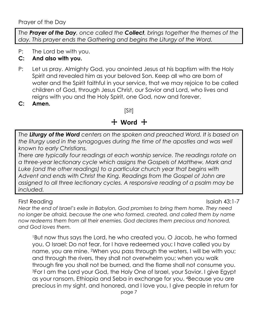*The Prayer of the Day, once called the Collect, brings together the themes of the day. This prayer ends the Gathering and begins the Liturgy of the Word.*

P: The Lord be with you.

# **C: And also with you.**

- P: Let us pray. Almighty God, you anointed Jesus at his baptism with the Holy Spirit and revealed him as your beloved Son. Keep all who are born of water and the Spirit faithful in your service, that we may rejoice to be called children of God, through Jesus Christ, our Savior and Lord, who lives and reigns with you and the Holy Spirit, one God, now and forever.
- **C: Amen.**

[Sit]

#### + **Word** +  $\overline{a}$

*The Liturgy of the Word centers on the spoken and preached Word. It is based on the liturgy used in the synagogues during the time of the apostles and was well known to early Christians.*

*There are typically four readings at each worship service. The readings rotate on a three-year lectionary cycle which assigns the Gospels of Matthew, Mark and*  Luke (and the other readings) to a particular church year that begins with *Advent and ends with Christ the King. Readings from the Gospel of John are assigned to all three lectionary cycles. A responsive reading of a psalm may be included.*

### First Reading Isaiah 43:1-7

*Near the end of Israel's exile in Babylon, God promises to bring them home. They need no longer be afraid, because the one who formed, created, and called them by name now redeems them from all their enemies. God declares them precious and honored, and God loves them.*

<sup>1</sup>But now thus says the Lord, he who created you, O Jacob, he who formed you, O Israel: Do not fear, for I have redeemed you; I have called you by name, you are mine. 2When you pass through the waters, I will be with you; and through the rivers, they shall not overwhelm you; when you walk through fire you shall not be burned, and the flame shall not consume you. <sup>3</sup>For I am the Lord your God, the Holy One of Israel, your Savior. I give Egypt as your ransom, Ethiopia and Seba in exchange for you. 4Because you are precious in my sight, and honored, and I love you, I give people in return for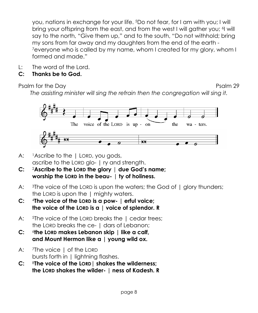you, nations in exchange for your life. 5Do not fear, for I am with you; I will bring your offspring from the east, and from the west I will gather you; <sup>6</sup>I will say to the north, "Give them up," and to the south, "Do not withhold; bring my sons from far away and my daughters from the end of the earth - <sup>7</sup>everyone who is called by my name, whom I created for my glory, whom I formed and made."

- L: The word of the Lord.
- **C: Thanks be to God.**

Psalm for the Day Psalm 29

*The assisting minister will sing the refrain then the congregation will sing it.*



- A: lascribe to the | LORD, you gods, ascribe to the LORD glo- | ry and strength.
- **C:** <sup>2</sup>**Ascribe to the LORD the glory** | **due God's name; worship the LORD in the beau-** | **ty of holiness.**
- A: 3The voice of the LORD is upon the waters; the God of | glory thunders; the LORD is upon the 1 mighty waters.
- **C:** <sup>4</sup>**The voice of the LORD is a pow- | erful voice; the voice of the LORD is a | voice of splendor. R**
- A: <sup>5</sup>The voice of the LORD breaks the I cedar trees: the LORD breaks the ce- | dars of Lebanon;
- $C:$ **the LORD makes Lebanon skip | like a calf, and Mount Hermon like a | young wild ox.**
- A: <sup>7</sup>The voice | of the LORD bursts forth in | lightning flashes.
- **C:** <sup>8</sup>**The voice of the LORD| shakes the wilderness; the LORD shakes the wilder- | ness of Kadesh. R**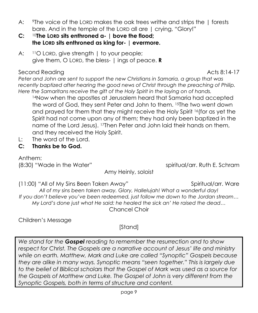- A: <sup>9</sup>The voice of the LORD makes the oak trees writhe and strips the | forests bare. And in the temple of the LORD all are | crying, "Glory!"
- **C:** <sup>10</sup>**The LORD sits enthroned a- | bove the flood; the LORD sits enthroned as king for- | evermore.**
- A: <sup>11</sup>O LORD, give strength I to your people; give them, O LORD, the bless- | ings of peace. **R**

## Second Reading Acts 8:14-17

*Peter and John are sent to support the new Christians in Samaria, a group that was recently baptized after hearing the good news of Christ through the preaching of Philip. Here the Samaritans receive the gift of the Holy Spirit in the laying on of hands.*

<sup>14</sup>Now when the apostles at Jerusalem heard that Samaria had accepted the word of God, they sent Peter and John to them. <sup>15</sup>The two went down and prayed for them that they might receive the Holy Spirit <sup>16</sup>(for as yet the Spirit had not come upon any of them; they had only been baptized in the name of the Lord Jesus). <sup>17</sup>Then Peter and John laid their hands on them, and they received the Holy Spirit.

- L: The word of the Lord.
- **C: Thanks be to God.**

Anthem:

Amy Heinly, soloist

(8:30) "Wade in the Water" spiritual/arr. Ruth E. Schram

(11:00) "All of My Sins Been Taken Away" Spiritual/arr. Ware *All of my sins been taken away. Glory, Hallelujah! What a wonderful day! If you don't believe you've been redeemed, just follow me down to the Jordan stream… My Lord's done just what He said: he healed the sick an' He raised the dead…* Chancel Choir

Children's Message

[Stand]

*We stand for the Gospel reading to remember the resurrection and to show respect for Christ. The Gospels are a narrative account of Jesus' life and ministry while on earth. Matthew, Mark and Luke are called "Synoptic" Gospels because they are alike in many ways. Synoptic means "seen together." This is largely due to the belief of Biblical scholars that the Gospel of Mark was used as a source for the Gospels of Matthew and Luke. The Gospel of John is very different from the Synoptic Gospels, both in terms of structure and content.*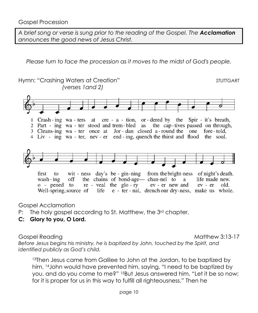*A brief song or verse is sung prior to the reading of the Gospel. The Acclamation announces the good news of Jesus Christ.*

*Please turn to face the procession as it moves to the midst of God's people.*



Gospel Acclamation

- P: The holy gospel according to St. Matthew, the 3<sup>rd</sup> chapter.
- **C: Glory to you, O Lord.**

Gospel Reading Matthew 3:13-17

*Before Jesus begins his ministry, he is baptized by John, touched by the Spirit, and identified publicly as God's child.*

<sup>13</sup>Then Jesus came from Galilee to John at the Jordan, to be baptized by him. <sup>14</sup> John would have prevented him, saying, "I need to be baptized by you, and do you come to me?" 15But Jesus answered him, "Let it be so now; for it is proper for us in this way to fulfill all righteousness." Then he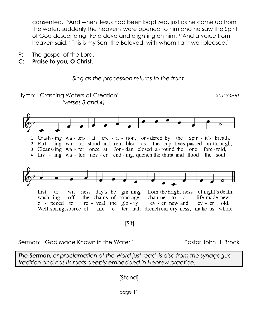consented. 16And when Jesus had been baptized, just as he came up from the water, suddenly the heavens were opened to him and he saw the Spirit of God descending like a dove and alighting on him. 17And a voice from heaven said, "This is my Son, the Beloved, with whom I am well pleased."

P: The gospel of the Lord.

# **C: Praise to you, O Christ.**





### Sermon: "God Made Known in the Water" Pastor John H. Brock

*The Sermon, or proclamation of the Word just read, is also from the synagogue tradition and has its roots deeply embedded in Hebrew practice.*

[Stand]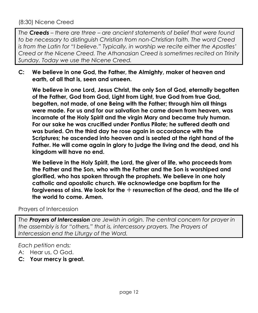*The Creeds – there are three – are ancient statements of belief that were found to be necessary to distinguish Christian from non-Christian faith. The word Creed is from the Latin for "I believe." Typically, in worship we recite either the Apostles' Creed or the Nicene Creed. The Athanasian Creed is sometimes recited on Trinity Sunday. Today we use the Nicene Creed.*

**C: We believe in one God, the Father, the Almighty, maker of heaven and earth, of all that is, seen and unseen.**

**We believe in one Lord, Jesus Christ, the only Son of God, eternally begotten of the Father, God from God, Light from Light, true God from true God, begotten, not made, of one Being with the Father; through him all things were made. For us and for our salvation he came down from heaven, was incarnate of the Holy Spirit and the virgin Mary and became truly human. For our sake he was crucified under Pontius Pilate; he suffered death and was buried. On the third day he rose again in accordance with the Scriptures; he ascended into heaven and is seated at the right hand of the Father. He will come again in glory to judge the living and the dead, and his kingdom will have no end.**

**We believe in the Holy Spirit, the Lord, the giver of life, who proceeds from the Father and the Son, who with the Father and the Son is worshiped and glorified, who has spoken through the prophets. We believe in one holy catholic and apostolic church. We acknowledge one baptism for the forgiveness of sins. We look for the** + **resurrection of the dead, and the life of the world to come. Amen.**

## Prayers of Intercession

*The Prayers of Intercession are Jewish in origin. The central concern for prayer in the assembly is for "others," that is, intercessory prayers. The Prayers of Intercession end the Liturgy of the Word.*

*Each petition ends:*

- A: Hear us, O God.
- **C: Your mercy is great.**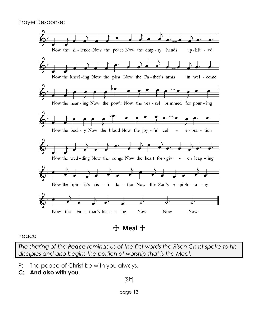

Peace

*The sharing of the Peace reminds us of the first words the Risen Christ spoke to his disciples and also begins the portion of worship that is the Meal.*

- P: The peace of Christ be with you always.
- **C: And also with you.**

[Sit]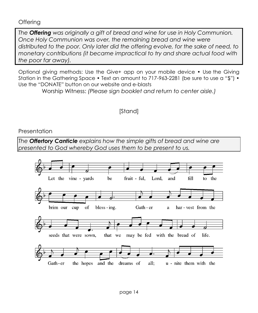### **Offering**

*The Offering was originally a gift of bread and wine for use in Holy Communion. Once Holy Communion was over, the remaining bread and wine were distributed to the poor. Only later did the offering evolve, for the sake of need, to monetary contributions (it became impractical to try and share actual food with the poor far away).*

Optional giving methods: Use the Give+ app on your mobile device • Use the Giving Station in the Gathering Space • Text an amount to 717-963-2281 (be sure to use a "\$") • Use the "DONATE" button on our website and e-blasts

Worship Witness: *(Please sign booklet and return to center aisle.)*

# [Stand]

## Presentation

*The Offertory Canticle explains how the simple gifts of bread and wine are presented to God whereby God uses them to be present to us.*

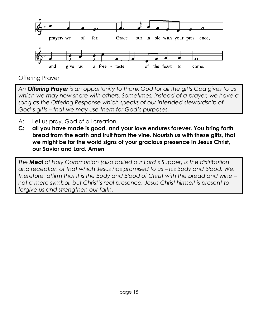

Offering Prayer

*An Offering Prayer is an opportunity to thank God for all the gifts God gives to us which we may now share with others. Sometimes, instead of a prayer, we have a song as the Offering Response which speaks of our intended stewardship of God's gifts – that we may use them for God's purposes.*

- A: Let us pray. God of all creation,
- **C: all you have made is good, and your love endures forever. You bring forth bread from the earth and fruit from the vine. Nourish us with these gifts, that we might be for the world signs of your gracious presence in Jesus Christ, our Savior and Lord. Amen**

*The Meal of Holy Communion (also called our Lord's Supper) is the distribution and reception of that which Jesus has promised to us – his Body and Blood. We, therefore, affirm that it is the Body and Blood of Christ with the bread and wine – not a mere symbol, but Christ's real presence. Jesus Christ himself is present to forgive us and strengthen our faith.*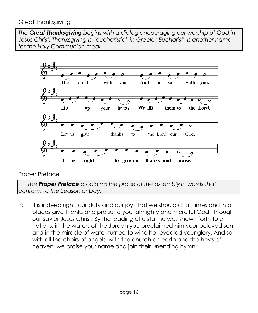## Great Thanksgiving

*The Great Thanksgiving begins with a dialog encouraging our worship of God in Jesus Christ. Thanksgiving is "eucharistia" in Greek. "Eucharist" is another name for the Holy Communion meal.*



## Proper Preface

 *The Proper Preface proclaims the praise of the assembly in words that conform to the Season or Day.*

P: It is indeed right, our duty and our joy, that we should at all times and in all places give thanks and praise to you, almighty and merciful God, through our Savior Jesus Christ. By the leading of a star he was shown forth to all nations; in the waters of the Jordan you proclaimed him your beloved son, and in the miracle of water turned to wine he revealed your glory. And so, with all the choirs of angels, with the church on earth and the hosts of heaven, we praise your name and join their unending hymn: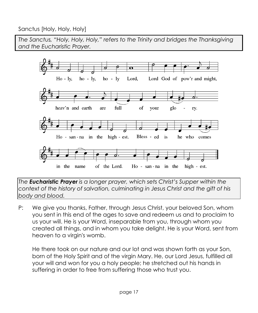Sanctus [Holy, Holy, Holy]

*The Sanctus, "Holy, Holy, Holy," refers to the Trinity and bridges the Thanksgiving and the Eucharistic Prayer.* 



*The Eucharistic Prayer is a longer prayer, which sets Christ's Supper within the context of the history of salvation, culminating in Jesus Christ and the gift of his body and blood.* 

P: We give you thanks, Father, through Jesus Christ, your beloved Son, whom you sent in this end of the ages to save and redeem us and to proclaim to us your will. He is your Word, inseparable from you, through whom you created all things, and in whom you take delight. He is your Word, sent from heaven to a virgin's womb.

He there took on our nature and our lot and was shown forth as your Son, born of the Holy Spirit and of the virgin Mary. He, our Lord Jesus, fulfilled all your will and won for you a holy people; he stretched out his hands in suffering in order to free from suffering those who trust you.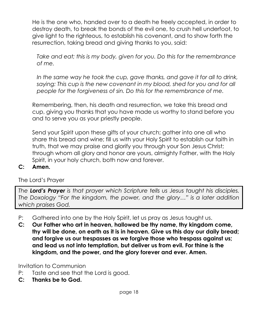He is the one who, handed over to a death he freely accepted, in order to destroy death, to break the bonds of the evil one, to crush hell underfoot, to give light to the righteous, to establish his covenant, and to show forth the resurrection, taking bread and giving thanks to you, said:

*Take and eat; this is my body, given for you. Do this for the remembrance of me.*

*In the same way he took the cup, gave thanks, and gave it for all to drink,*  saying: This cup is the new covenant in my blood, shed for you and for all *people for the forgiveness of sin. Do this for the remembrance of me.*

Remembering, then, his death and resurrection, we take this bread and cup, giving you thanks that you have made us worthy to stand before you and to serve you as your priestly people.

Send your Spirit upon these gifts of your church; gather into one all who share this bread and wine; fill us with your Holy Spirit to establish our faith in truth, that we may praise and glorify you through your Son Jesus Christ; through whom all glory and honor are yours, almighty Father, with the Holy Spirit, in your holy church, both now and forever.

### **C: Amen.**

The Lord's Prayer

*The Lord's Prayer is that prayer which Scripture tells us Jesus taught his disciples. The Doxology "For the kingdom, the power, and the glory…" is a later addition which praises God.*

- P: Gathered into one by the Holy Spirit, let us pray as Jesus taught us.
- **C: Our Father who art in heaven, hallowed be thy name, thy kingdom come, thy will be done, on earth as it is in heaven. Give us this day our daily bread; and forgive us our trespasses as we forgive those who trespass against us; and lead us not into temptation, but deliver us from evil. For thine is the kingdom, and the power, and the glory forever and ever. Amen.**

Invitation to Communion

- P: Taste and see that the Lord is good.
- **C: Thanks be to God.**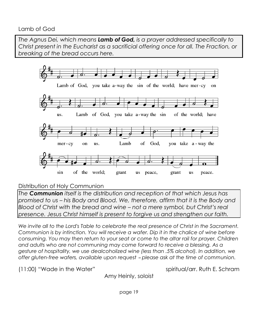# Lamb of God

*The Agnus Dei, which means Lamb of God, is a prayer addressed specifically to Christ present in the Eucharist as a sacrificial offering once for all. The Fraction, or breaking of the bread occurs here.* 



# Distribution of Holy Communion

*The Communion itself is the distribution and reception of that which Jesus has promised to us – his Body and Blood. We, therefore, affirm that it is the Body and Blood of Christ with the bread and wine – not a mere symbol, but Christ's real presence. Jesus Christ himself is present to forgive us and strengthen our faith.*

*We invite all to the Lord's Table to celebrate the real presence of Christ in the Sacrament. Communion is by intinction. You will receive a wafer. Dip it in the chalice of wine before consuming. You may then return to your seat or come to the altar rail for prayer. Children and adults who are not communing may come forward to receive a blessing. As a gesture of hospitality, we use dealcoholized wine (less than .5% alcohol). In addition, we offer gluten-free wafers, available upon request - please ask at the time of communion.* 

(11:00) "Wade in the Water" spiritual/arr. Ruth E. Schram

Amy Heinly, soloist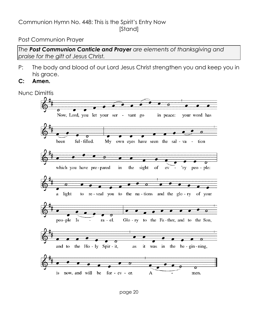# Communion Hymn No. 448: This is the Spirit's Entry Now [Stand]

#### Post Communion Prayer

*The Post Communion Canticle and Prayer are elements of thanksgiving and praise for the gift of Jesus Christ.*

- P: The body and blood of our Lord Jesus Christ strengthen you and keep you in his grace.
- **C: Amen.**

Nunc Dimittis

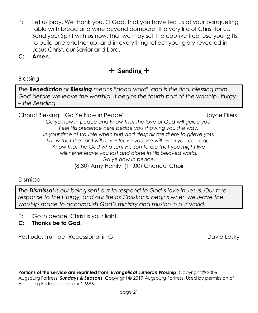- P: Let us pray. We thank you, O God, that you have fed us at your banqueting table with bread and wine beyond compare, the very life of Christ for us. Send your Spirit with us now, that we may set the captive free, use your gifts to build one another up, and in everything reflect your glory revealed in Jesus Christ, our Savior and Lord.
- **C: Amen.**

# + **Sending** +

Blessing

*The Benediction or Blessing means "good word" and is the final blessing from God before we leave the worship. It begins the fourth part of the worship Liturgy – the Sending.*

Choral Blessing: "Go Ye Now in Peace" and a state of the Joyce Eilers

*Go ye now in peace and know that the love of God will guide you. Feel His presence here beside you showing you the way. In your time of trouble when hurt and despair are there to grieve you, know that the Lord will never leave you. He will bring you courage. Know that the God who sent His Son to die that you might live will never leave you lost and alone in His beloved world. Go ye now in peace.* (8:30) Amy Heinly; (11:00) Chancel Choir

Dismissal

*The Dismissal is our being sent out to respond to God's love in Jesus. Our true response to the Liturgy, and our life as Christians, begins when we leave the worship space to accomplish God's ministry and mission in our world.*

- P: Go in peace. Christ is your light.
- **C: Thanks be to God.**

Postlude: Trumpet Recessional in G The David Lasky David Lasky

**Portions of the service are reprinted from:** *Evangelical Lutheran Worship*, Copyright © 2006 Augsburg Fortress. *Sundays & Seasons*, Copyright © 2019 Augsburg Fortress. Used by permission of Augsburg Fortress License # 23686.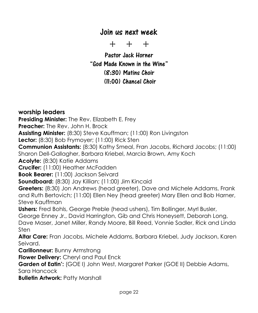# Join us next week

+ + +

Pastor Jack Horner "God Made Known in the Wine" (8:30) Matins Choir (11:00) Chancel Choir

**worship leaders Presiding Minister:** The Rev. Elizabeth E. Frey **Preacher:** The Rev. John H. Brock **Assisting Minister:** (8:30) Steve Kauffman; (11:00) Ron Livingston **Lector:** (8:30) Bob Frymoyer; (11:00) Rick Sten **Communion Assistants:** (8:30) Kathy Smeal, Fran Jacobs, Richard Jacobs; (11:00) Sharon Dell-Gallagher, Barbara Kriebel, Marcia Brown, Amy Koch **Acolyte:** (8:30) Katie Addams **Crucifer:** (11:00) Heather McFadden **Book Bearer:** (11:00) Jackson Seivard **Soundboard:** (8:30) Jay Killian; (11:00) Jim Kincaid **Greeters:** (8:30) Jon Andrews (head greeter), Dave and Michele Addams, Frank and Ruth Bertovich; (11:00) Ellen Ney (head greeter) Mary Ellen and Bob Harner, Steve Kauffman **Ushers:** Fred Bohls, George Preble (head ushers), Tim Bollinger, Myrl Busler, George Enney Jr., David Harrington, Gib and Chris Honeysett, Deborah Long, Dave Maser, Janet Miller, Randy Moore, Bill Reed, Vonnie Sadler, Rick and Linda Sten **Altar Care:** Fran Jacobs, Michele Addams, Barbara Kriebel, Judy Jackson, Karen Seivard. **Carillonneur:** Bunny Armstrong **Flower Delivery:** Cheryl and Paul Enck **Garden of Eatin':** (GOE I) John West, Margaret Parker (GOE II) Debbie Adams, Sara Hancock **Bulletin Artwork: Patty Marshall**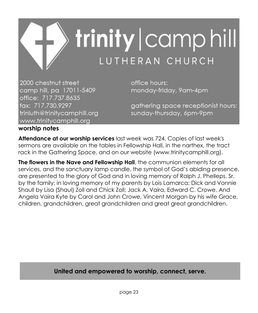

2000 chestnut street camp hill, pa 17011-5409 office: 717.737.8635 fax: 717.730.9297 trinluth@trinitycamphill.org www.trinitycamphill.org

office hours: monday-friday, 9am-4pm

gathering space receptionist hours: sunday-thursday, 6pm-9pm

## **worship notes**

**Attendance at our worship services** last week was 724. Copies of last week's sermons are available on the tables in Fellowship Hall, in the narthex, the tract rack in the Gathering Space, and on our website (www.trinitycamphill.org).

**The flowers in the Nave and Fellowship Hall**, the communion elements for all services, and the sanctuary lamp candle, the symbol of God's abiding presence, are presented to the glory of God and in loving memory of Ralph J. Phelleps, Sr. by the family; in loving memory of my parents by Lois Lamarca; Dick and Vonnie Shaull by Lisa (Shaul) Zoll and Chick Zoll; Jack A. Vaira, Edward C. Crowe, And Angela Vaira Kyte by Carol and John Crowe, Vincent Morgan by his wife Grace, children, grandchildren, great grandchildren and great great grandchildren.

# **United and empowered to worship, connect, serve.**